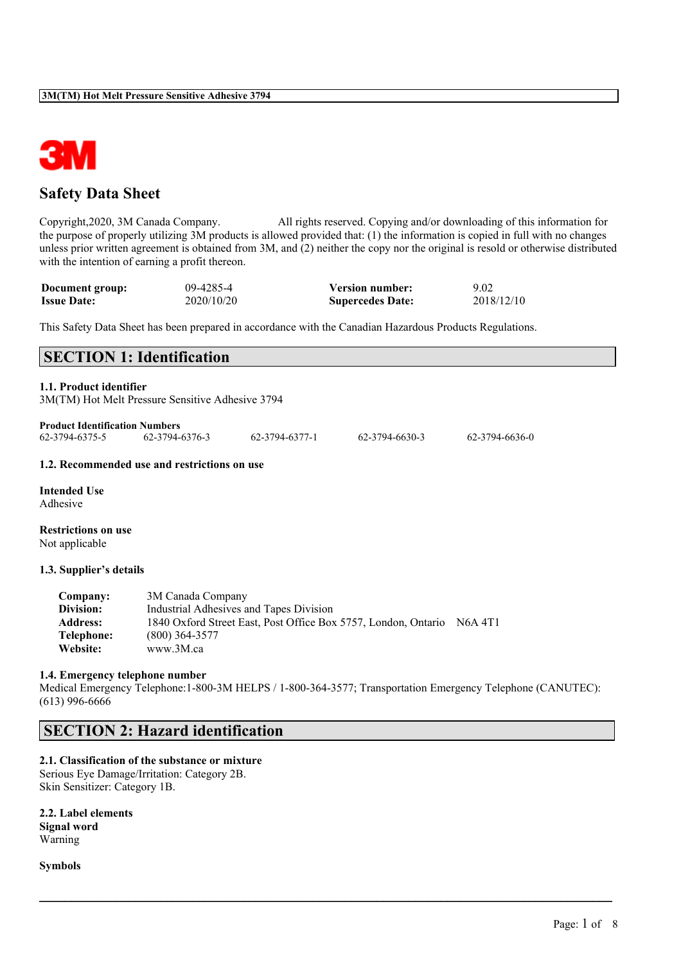

# **Safety Data Sheet**

Copyright,2020, 3M Canada Company. All rights reserved. Copying and/or downloading of this information for the purpose of properly utilizing 3M products is allowed provided that: (1) the information is copied in full with no changes unless prior written agreement is obtained from 3M, and (2) neither the copy nor the original is resold or otherwise distributed with the intention of earning a profit thereon.

| Document group:    | 09-4285-4  | <b>Version number:</b>  | 9.02       |
|--------------------|------------|-------------------------|------------|
| <b>Issue Date:</b> | 2020/10/20 | <b>Supercedes Date:</b> | 2018/12/10 |

This Safety Data Sheet has been prepared in accordance with the Canadian Hazardous Products Regulations.

| <b>SECTION 1: Identification</b>                                            |  |
|-----------------------------------------------------------------------------|--|
| 1.1. Product identifier<br>3M(TM) Hot Melt Pressure Sensitive Adhesive 3794 |  |
| <b>Product Identification Numbers</b>                                       |  |

| 62-3794-6375-5 | 62-3794-6376-3 | 62-3794-6377-1 | 62-3794-6630-3 | 62-3794-6636-0 |
|----------------|----------------|----------------|----------------|----------------|
|                |                |                |                |                |

### **1.2. Recommended use and restrictions on use**

**Intended Use** Adhesive

**Restrictions on use** Not applicable

#### **1.3. Supplier's details**

| Company:        | 3M Canada Company                                                      |  |
|-----------------|------------------------------------------------------------------------|--|
| Division:       | Industrial Adhesives and Tapes Division                                |  |
| <b>Address:</b> | 1840 Oxford Street East, Post Office Box 5757, London, Ontario N6A 4T1 |  |
| Telephone:      | $(800)$ 364-3577                                                       |  |
| Website:        | www.3M.ca                                                              |  |

#### **1.4. Emergency telephone number**

Medical Emergency Telephone:1-800-3M HELPS / 1-800-364-3577; Transportation Emergency Telephone (CANUTEC): (613) 996-6666

 $\mathcal{L}_\mathcal{L} = \mathcal{L}_\mathcal{L} = \mathcal{L}_\mathcal{L} = \mathcal{L}_\mathcal{L} = \mathcal{L}_\mathcal{L} = \mathcal{L}_\mathcal{L} = \mathcal{L}_\mathcal{L} = \mathcal{L}_\mathcal{L} = \mathcal{L}_\mathcal{L} = \mathcal{L}_\mathcal{L} = \mathcal{L}_\mathcal{L} = \mathcal{L}_\mathcal{L} = \mathcal{L}_\mathcal{L} = \mathcal{L}_\mathcal{L} = \mathcal{L}_\mathcal{L} = \mathcal{L}_\mathcal{L} = \mathcal{L}_\mathcal{L}$ 

# **SECTION 2: Hazard identification**

# **2.1. Classification of the substance or mixture**

Serious Eye Damage/Irritation: Category 2B. Skin Sensitizer: Category 1B.

**2.2. Label elements Signal word** Warning

**Symbols**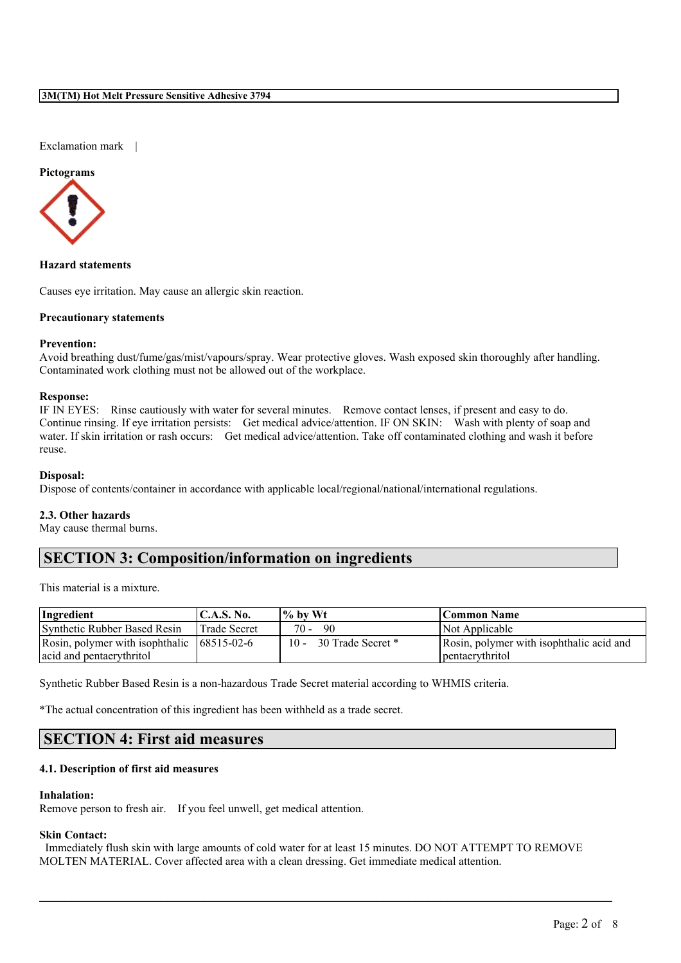Exclamation mark |

#### **Pictograms**



**Hazard statements**

Causes eye irritation. May cause an allergic skin reaction.

### **Precautionary statements**

# **Prevention:**

Avoid breathing dust/fume/gas/mist/vapours/spray. Wear protective gloves. Wash exposed skin thoroughly after handling. Contaminated work clothing must not be allowed out of the workplace.

## **Response:**

IF IN EYES: Rinse cautiously with water for several minutes. Remove contact lenses, if present and easy to do. Continue rinsing. If eye irritation persists: Get medical advice/attention. IF ON SKIN: Wash with plenty of soap and water. If skin irritation or rash occurs: Get medical advice/attention. Take off contaminated clothing and wash it before reuse.

#### **Disposal:**

Dispose of contents/container in accordance with applicable local/regional/national/international regulations.

#### **2.3. Other hazards**

May cause thermal burns.

# **SECTION 3: Composition/information on ingredients**

This material is a mixture.

| Ingredient                                     | $\mathsf{IC.A.S.}\$ No. | $\frac{10}{6}$ by Wt     | Common Name                              |
|------------------------------------------------|-------------------------|--------------------------|------------------------------------------|
| Synthetic Rubber Based Resin                   | Trade Secret            | $70 -$<br>90             | Not Applicable                           |
| Rosin, polymer with isophthalic $(68515-02-6)$ |                         | 10 - 30 Trade Secret $*$ | Rosin, polymer with isophthalic acid and |
| acid and pentaerythritol                       |                         |                          | pentaerythritol                          |

Synthetic Rubber Based Resin is a non-hazardous Trade Secret material according to WHMIS criteria.

\*The actual concentration of this ingredient has been withheld as a trade secret.

# **SECTION 4: First aid measures**

# **4.1. Description of first aid measures**

#### **Inhalation:**

Remove person to fresh air. If you feel unwell, get medical attention.

# **Skin Contact:**

Immediately flush skin with large amounts of cold water for at least 15 minutes. DO NOT ATTEMPT TO REMOVE MOLTEN MATERIAL. Cover affected area with a clean dressing. Get immediate medical attention.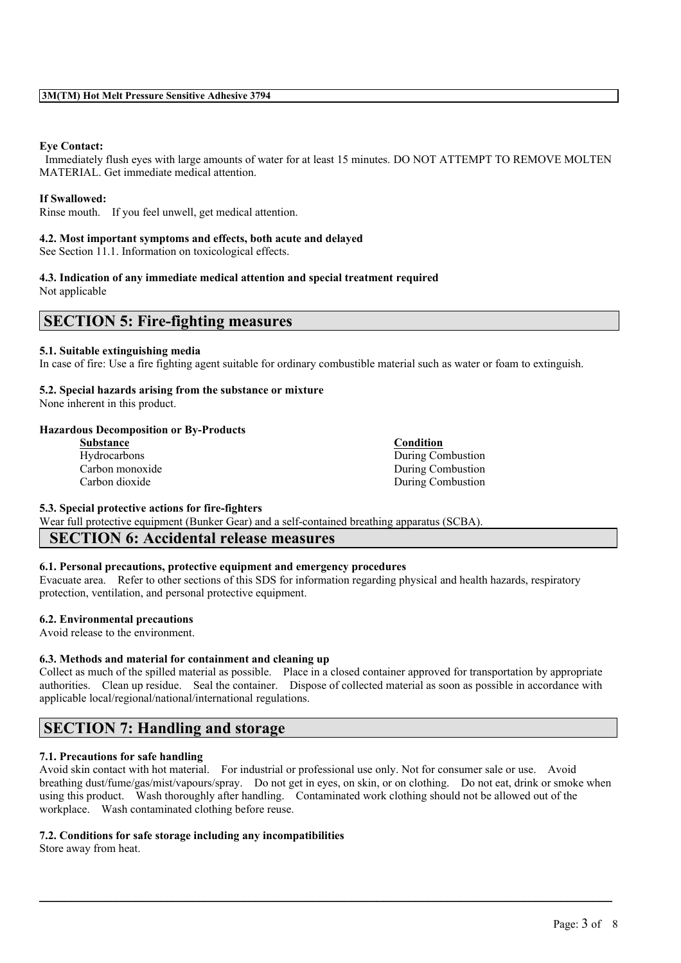# **Eye Contact:**

Immediately flush eyes with large amounts of water for at least 15 minutes. DO NOT ATTEMPT TO REMOVE MOLTEN MATERIAL. Get immediate medical attention.

# **If Swallowed:**

Rinse mouth. If you feel unwell, get medical attention.

#### **4.2. Most important symptoms and effects, both acute and delayed**

See Section 11.1. Information on toxicological effects.

### **4.3. Indication of any immediate medical attention and special treatment required**

Not applicable

# **SECTION 5: Fire-fighting measures**

#### **5.1. Suitable extinguishing media**

In case of fire: Use a fire fighting agent suitable for ordinary combustible material such as water or foam to extinguish.

### **5.2. Special hazards arising from the substance or mixture**

None inherent in this product.

### **Hazardous Decomposition or By-Products**

| <b>Substance</b> | <b>Condition</b>  |
|------------------|-------------------|
| Hydrocarbons     | During Combustion |
| Carbon monoxide  | During Combustion |
| Carbon dioxide   | During Combustion |

**5.3. Special protective actions for fire-fighters**

Wear full protective equipment (Bunker Gear) and a self-contained breathing apparatus (SCBA).

# **SECTION 6: Accidental release measures**

#### **6.1. Personal precautions, protective equipment and emergency procedures**

Evacuate area. Refer to other sections of this SDS for information regarding physical and health hazards, respiratory protection, ventilation, and personal protective equipment.

# **6.2. Environmental precautions**

Avoid release to the environment.

# **6.3. Methods and material for containment and cleaning up**

Collect as much of the spilled material as possible. Place in a closed container approved for transportation by appropriate authorities. Clean up residue. Seal the container. Dispose of collected material as soon as possible in accordance with applicable local/regional/national/international regulations.

# **SECTION 7: Handling and storage**

# **7.1. Precautions for safe handling**

Avoid skin contact with hot material. For industrial or professional use only. Not for consumer sale or use. Avoid breathing dust/fume/gas/mist/vapours/spray. Do not get in eyes, on skin, or on clothing. Do not eat, drink or smoke when using this product. Wash thoroughly after handling. Contaminated work clothing should not be allowed out of the workplace. Wash contaminated clothing before reuse.

 $\mathcal{L}_\mathcal{L} = \mathcal{L}_\mathcal{L} = \mathcal{L}_\mathcal{L} = \mathcal{L}_\mathcal{L} = \mathcal{L}_\mathcal{L} = \mathcal{L}_\mathcal{L} = \mathcal{L}_\mathcal{L} = \mathcal{L}_\mathcal{L} = \mathcal{L}_\mathcal{L} = \mathcal{L}_\mathcal{L} = \mathcal{L}_\mathcal{L} = \mathcal{L}_\mathcal{L} = \mathcal{L}_\mathcal{L} = \mathcal{L}_\mathcal{L} = \mathcal{L}_\mathcal{L} = \mathcal{L}_\mathcal{L} = \mathcal{L}_\mathcal{L}$ 

# **7.2. Conditions for safe storage including any incompatibilities**

Store away from heat.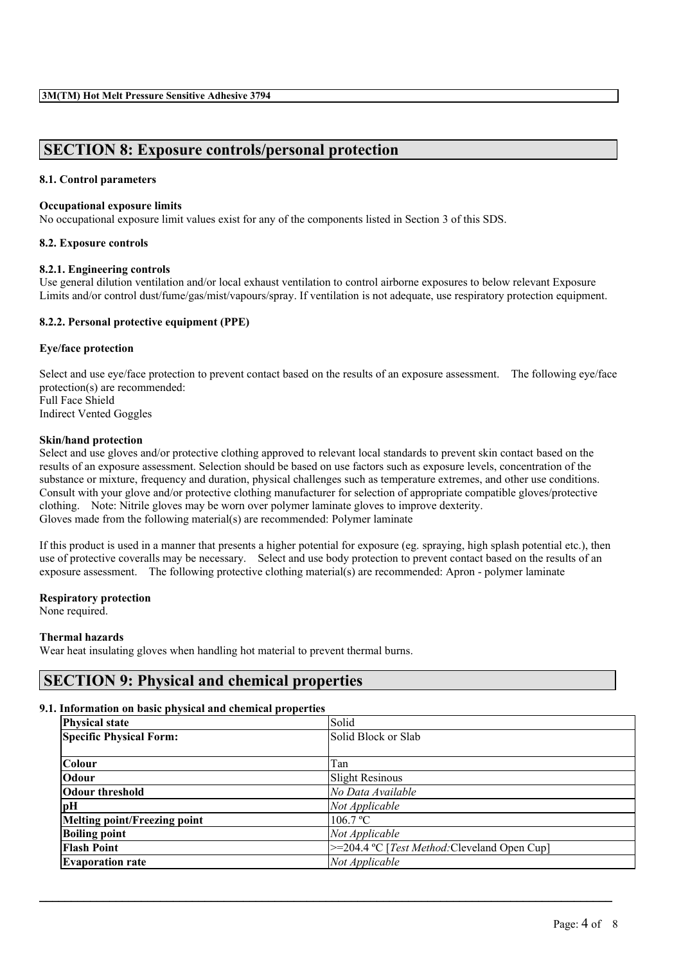# **SECTION 8: Exposure controls/personal protection**

# **8.1. Control parameters**

# **Occupational exposure limits**

No occupational exposure limit values exist for any of the components listed in Section 3 of this SDS.

### **8.2. Exposure controls**

### **8.2.1. Engineering controls**

Use general dilution ventilation and/or local exhaust ventilation to control airborne exposures to below relevant Exposure Limits and/or control dust/fume/gas/mist/vapours/spray. If ventilation is not adequate, use respiratory protection equipment.

# **8.2.2. Personal protective equipment (PPE)**

### **Eye/face protection**

Select and use eye/face protection to prevent contact based on the results of an exposure assessment. The following eye/face protection(s) are recommended: Full Face Shield Indirect Vented Goggles

#### **Skin/hand protection**

Select and use gloves and/or protective clothing approved to relevant local standards to prevent skin contact based on the results of an exposure assessment. Selection should be based on use factors such as exposure levels, concentration of the substance or mixture, frequency and duration, physical challenges such as temperature extremes, and other use conditions. Consult with your glove and/or protective clothing manufacturer for selection of appropriate compatible gloves/protective clothing. Note: Nitrile gloves may be worn over polymer laminate gloves to improve dexterity. Gloves made from the following material(s) are recommended: Polymer laminate

If this product is used in a manner that presents a higher potential for exposure (eg. spraying, high splash potential etc.), then use of protective coveralls may be necessary. Select and use body protection to prevent contact based on the results of an exposure assessment. The following protective clothing material(s) are recommended: Apron - polymer laminate

#### **Respiratory protection**

None required.

#### **Thermal hazards**

Wear heat insulating gloves when handling hot material to prevent thermal burns.

# **SECTION 9: Physical and chemical properties**

#### **9.1. Information on basic physical and chemical properties**

| <b>Physical state</b>          | Solid                                                |  |
|--------------------------------|------------------------------------------------------|--|
| <b>Specific Physical Form:</b> | Solid Block or Slab                                  |  |
| Colour                         | Tan                                                  |  |
| <b>Odour</b>                   | <b>Slight Resinous</b>                               |  |
| Odour threshold                | No Data Available                                    |  |
| pН                             | Not Applicable                                       |  |
| Melting point/Freezing point   | 106.7 °C                                             |  |
| <b>Boiling point</b>           | Not Applicable                                       |  |
| <b>Flash Point</b>             | >=204.4 °C [ <i>Test Method</i> :Cleveland Open Cup] |  |
| <b>Evaporation rate</b>        | Not Applicable                                       |  |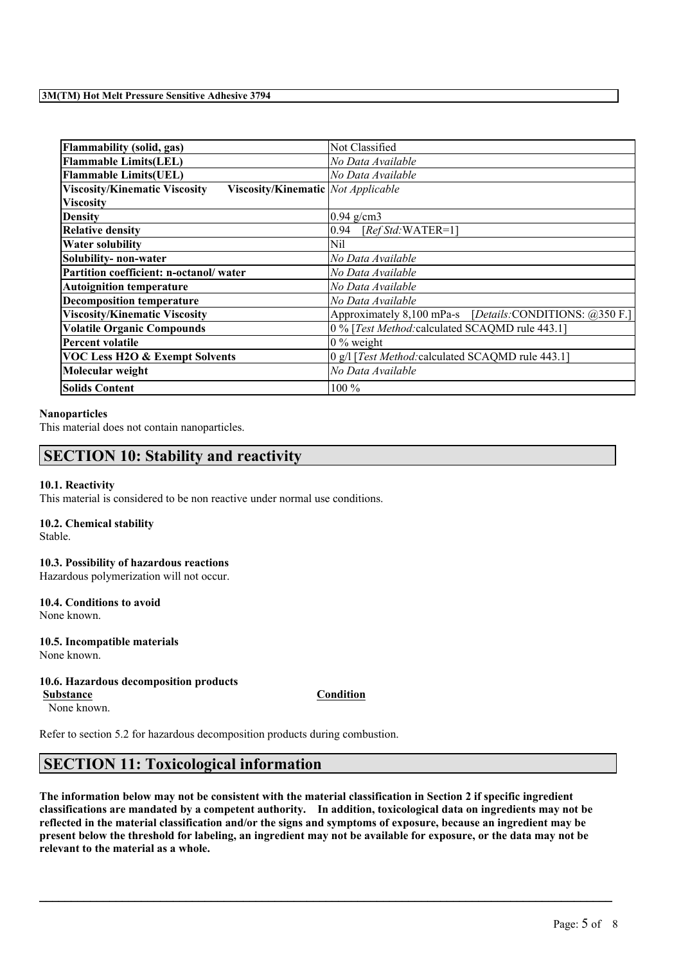| <b>Flammability (solid, gas)</b>                                                  | Not Classified                                                           |  |  |
|-----------------------------------------------------------------------------------|--------------------------------------------------------------------------|--|--|
| <b>Flammable Limits(LEL)</b>                                                      | No Data Available                                                        |  |  |
| <b>Flammable Limits(UEL)</b>                                                      | No Data Available                                                        |  |  |
| <b>Viscosity/Kinematic Viscosity</b><br><b>Viscosity/Kinematic</b> Not Applicable |                                                                          |  |  |
| <b>Viscosity</b>                                                                  |                                                                          |  |  |
| <b>Density</b>                                                                    | $0.94$ g/cm3                                                             |  |  |
| <b>Relative density</b>                                                           | 0.94<br>$[RefStd:WATER=1]$                                               |  |  |
| <b>Water solubility</b>                                                           | Nil                                                                      |  |  |
| Solubility- non-water                                                             | No Data Available                                                        |  |  |
| Partition coefficient: n-octanol/water                                            | No Data Available                                                        |  |  |
| <b>Autoignition temperature</b>                                                   | No Data Available                                                        |  |  |
| <b>Decomposition temperature</b>                                                  | No Data Available                                                        |  |  |
| <b>Viscosity/Kinematic Viscosity</b>                                              | Approximately 8,100 mPa-s [Details:CONDITIONS: @350 F.]                  |  |  |
| <b>Volatile Organic Compounds</b>                                                 | 0 % [Test Method: calculated SCAQMD rule 443.1]                          |  |  |
| <b>Percent volatile</b>                                                           | $0\%$ weight                                                             |  |  |
| <b>VOC Less H2O &amp; Exempt Solvents</b>                                         | $\left 0\right $ g/l [ <i>Test Method:</i> calculated SCAQMD rule 443.1] |  |  |
| Molecular weight                                                                  | No Data Available                                                        |  |  |
| <b>Solids Content</b>                                                             | $100\%$                                                                  |  |  |

#### **Nanoparticles**

This material does not contain nanoparticles.

# **SECTION 10: Stability and reactivity**

#### **10.1. Reactivity**

This material is considered to be non reactive under normal use conditions.

#### **10.2. Chemical stability** Stable.

# **10.3. Possibility of hazardous reactions**

Hazardous polymerization will not occur.

**10.4. Conditions to avoid** None known.

#### **10.5. Incompatible materials** None known.

# **10.6. Hazardous decomposition products**

None known.

**Substance Condition**

Refer to section 5.2 for hazardous decomposition products during combustion.

# **SECTION 11: Toxicological information**

The information below may not be consistent with the material classification in Section 2 if specific ingredient **classifications are mandated by a competent authority. In addition, toxicological data on ingredients may not be** reflected in the material classification and/or the signs and symptoms of exposure, because an ingredient may be present below the threshold for labeling, an ingredient may not be available for exposure, or the data may not be **relevant to the material as a whole.**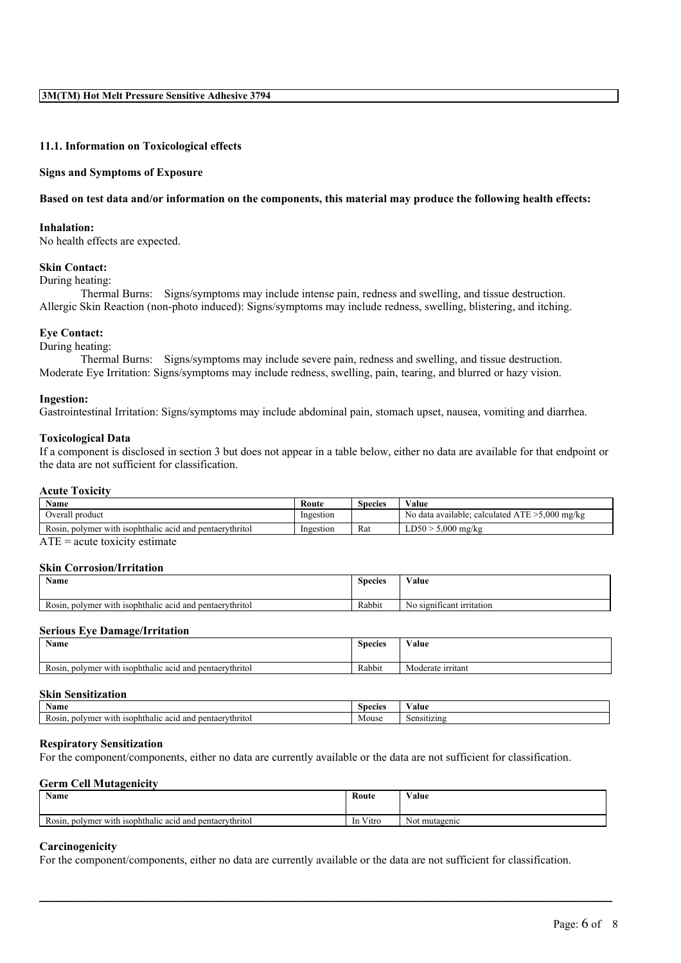#### **11.1. Information on Toxicological effects**

#### **Signs and Symptoms of Exposure**

#### Based on test data and/or information on the components, this material may produce the following health effects:

#### **Inhalation:**

No health effects are expected.

#### **Skin Contact:**

During heating:

Thermal Burns: Signs/symptoms may include intense pain, redness and swelling, and tissue destruction. Allergic Skin Reaction (non-photo induced): Signs/symptoms may include redness, swelling, blistering, and itching.

#### **Eye Contact:**

During heating:

Thermal Burns: Signs/symptoms may include severe pain, redness and swelling, and tissue destruction. Moderate Eye Irritation: Signs/symptoms may include redness, swelling, pain, tearing, and blurred or hazy vision.

#### **Ingestion:**

Gastrointestinal Irritation: Signs/symptoms may include abdominal pain, stomach upset, nausea, vomiting and diarrhea.

#### **Toxicological Data**

If a component is disclosed in section 3 but does not appear in a table below, either no data are available for that endpoint or the data are not sufficient for classification.

#### **Acute Toxicity**

| <b>Name</b>                                                   | Route     | <b>Species</b> | Value                                                                 |
|---------------------------------------------------------------|-----------|----------------|-----------------------------------------------------------------------|
| Overall product                                               | Ingestion |                | 5,000 mg/kg<br>N <sub>0</sub><br>calculated ATE >.<br>data available: |
| Rosin.<br>, polymer with isophthalic acid and pentaerythritol | Ingestion | Rat            | 5.000 mg/kg<br>$LD50^-$                                               |

 $ATE = acute$  toxicity estimate

#### **Skin Corrosion/Irritation**

| Name                                                          | <b>Species</b> | $\mathbf{v}$<br>V alue             |
|---------------------------------------------------------------|----------------|------------------------------------|
| . polymer with isophthalic acid and pentaerythritol<br>Rosin. | Rabbit         | S12I11<br>ificant irritation<br>No |

# **Serious Eye Damage/Irritation**

| <b>Name</b>                                                   | <b>Species</b> | $  -$<br>⁄ alue<br>$\cdots$ $\cdots$ |
|---------------------------------------------------------------|----------------|--------------------------------------|
| , polymer with isophthalic acid and pentaerythritol<br>Rosin. | Rabbit         | Moderate irritant                    |

# **Skin Sensitization**

| Name                                                                                   | Species | -<br>'alue  |
|----------------------------------------------------------------------------------------|---------|-------------|
| nolymer<br>With.<br>-isophthalic<br>l pentaervthritol<br>and<br><b>3CIG</b><br>K0S111. | Mouse   | Sensitizing |

#### **Respiratory Sensitization**

For the component/components, either no data are currently available or the data are not sufficient for classification.

#### **Germ Cell Mutagenicity**

| Name                                                                             | Route                        | Value         |
|----------------------------------------------------------------------------------|------------------------------|---------------|
| $\mathbf{r}$<br>a isophthalic acid and pentaerythritol<br>polymer with<br>Kosin. | $\mathbf{v}$<br>V itro<br>1n | Not mutagenic |

 $\mathcal{L}_\mathcal{L} = \mathcal{L}_\mathcal{L} = \mathcal{L}_\mathcal{L} = \mathcal{L}_\mathcal{L} = \mathcal{L}_\mathcal{L} = \mathcal{L}_\mathcal{L} = \mathcal{L}_\mathcal{L} = \mathcal{L}_\mathcal{L} = \mathcal{L}_\mathcal{L} = \mathcal{L}_\mathcal{L} = \mathcal{L}_\mathcal{L} = \mathcal{L}_\mathcal{L} = \mathcal{L}_\mathcal{L} = \mathcal{L}_\mathcal{L} = \mathcal{L}_\mathcal{L} = \mathcal{L}_\mathcal{L} = \mathcal{L}_\mathcal{L}$ 

# **Carcinogenicity**

For the component/components, either no data are currently available or the data are not sufficient for classification.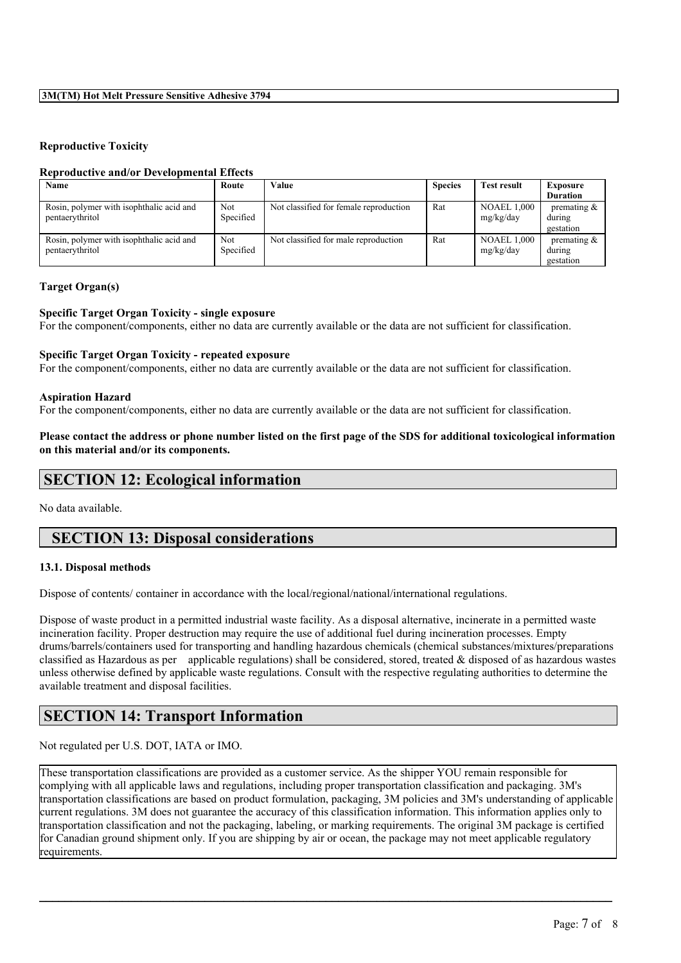# **3M(TM) Hot Melt Pressure Sensitive Adhesive 3794**

# **Reproductive Toxicity**

### **Reproductive and/or Developmental Effects**

| Name                                                        | Route                   | Value                                  | <b>Species</b> | <b>Test result</b>              | <b>Exposure</b>                       |
|-------------------------------------------------------------|-------------------------|----------------------------------------|----------------|---------------------------------|---------------------------------------|
|                                                             |                         |                                        |                |                                 | <b>Duration</b>                       |
| Rosin, polymer with isophthalic acid and<br>pentaerythritol | <b>Not</b><br>Specified | Not classified for female reproduction | Rat            | <b>NOAEL 1.000</b><br>mg/kg/day | premating $\&$<br>during<br>gestation |
| Rosin, polymer with isophthalic acid and<br>pentaerythritol | Not<br>Specified        | Not classified for male reproduction   | Rat            | <b>NOAEL 1,000</b><br>mg/kg/day | premating $\&$<br>during<br>gestation |

# **Target Organ(s)**

### **Specific Target Organ Toxicity - single exposure**

For the component/components, either no data are currently available or the data are not sufficient for classification.

### **Specific Target Organ Toxicity - repeated exposure**

For the component/components, either no data are currently available or the data are not sufficient for classification.

#### **Aspiration Hazard**

For the component/components, either no data are currently available or the data are not sufficient for classification.

# Please contact the address or phone number listed on the first page of the SDS for additional toxicological information **on this material and/or its components.**

# **SECTION 12: Ecological information**

No data available.

# **SECTION 13: Disposal considerations**

# **13.1. Disposal methods**

Dispose of contents/ container in accordance with the local/regional/national/international regulations.

Dispose of waste product in a permitted industrial waste facility. As a disposal alternative, incinerate in a permitted waste incineration facility. Proper destruction may require the use of additional fuel during incineration processes. Empty drums/barrels/containers used for transporting and handling hazardous chemicals (chemical substances/mixtures/preparations classified as Hazardous as per applicable regulations) shall be considered, stored, treated & disposed of as hazardous wastes unless otherwise defined by applicable waste regulations. Consult with the respective regulating authorities to determine the available treatment and disposal facilities.

# **SECTION 14: Transport Information**

Not regulated per U.S. DOT, IATA or IMO.

These transportation classifications are provided as a customer service. As the shipper YOU remain responsible for complying with all applicable laws and regulations, including proper transportation classification and packaging. 3M's transportation classifications are based on product formulation, packaging, 3M policies and 3M's understanding of applicable current regulations. 3M does not guarantee the accuracy of this classification information. This information applies only to transportation classification and not the packaging, labeling, or marking requirements. The original 3M package is certified for Canadian ground shipment only. If you are shipping by air or ocean, the package may not meet applicable regulatory requirements.